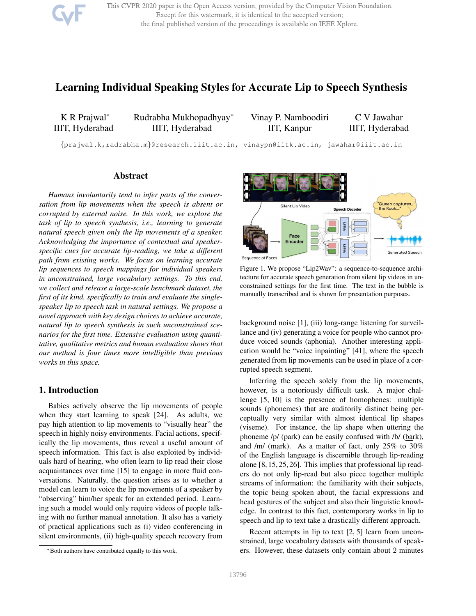This CVPR 2020 paper is the Open Access version, provided by the Computer Vision Foundation. Except for this watermark, it is identical to the accepted version; the final published version of the proceedings is available on IEEE Xplore.

# Learning Individual Speaking Styles for Accurate Lip to Speech Synthesis

K R Prajwal<sup>∗</sup> IIIT, Hyderabad Rudrabha Mukhopadhyay<sup>∗</sup> IIIT, Hyderabad

Vinay P. Namboodiri IIT, Kanpur C V Jawahar IIIT, Hyderabad

{prajwal.k,radrabha.m}@research.iiit.ac.in, vinaypn@iitk.ac.in, jawahar@iiit.ac.in

# Abstract

*Humans involuntarily tend to infer parts of the conversation from lip movements when the speech is absent or corrupted by external noise. In this work, we explore the task of lip to speech synthesis, i.e., learning to generate natural speech given only the lip movements of a speaker. Acknowledging the importance of contextual and speakerspecific cues for accurate lip-reading, we take a different path from existing works. We focus on learning accurate lip sequences to speech mappings for individual speakers in unconstrained, large vocabulary settings. To this end, we collect and release a large-scale benchmark dataset, the first of its kind, specifically to train and evaluate the singlespeaker lip to speech task in natural settings. We propose a novel approach with key design choices to achieve accurate, natural lip to speech synthesis in such unconstrained scenarios for the first time. Extensive evaluation using quantitative, qualitative metrics and human evaluation shows that our method is four times more intelligible than previous works in this space.*

## 1. Introduction

Babies actively observe the lip movements of people when they start learning to speak [24]. As adults, we pay high attention to lip movements to "visually hear" the speech in highly noisy environments. Facial actions, specifically the lip movements, thus reveal a useful amount of speech information. This fact is also exploited by individuals hard of hearing, who often learn to lip read their close acquaintances over time [15] to engage in more fluid conversations. Naturally, the question arises as to whether a model can learn to voice the lip movements of a speaker by "observing" him/her speak for an extended period. Learning such a model would only require videos of people talking with no further manual annotation. It also has a variety of practical applications such as (i) video conferencing in silent environments, (ii) high-quality speech recovery from



Figure 1. We propose "Lip2Wav": a sequence-to-sequence architecture for accurate speech generation from silent lip videos in unconstrained settings for the first time. The text in the bubble is manually transcribed and is shown for presentation purposes.

background noise [1], (iii) long-range listening for surveillance and (iv) generating a voice for people who cannot produce voiced sounds (aphonia). Another interesting application would be "voice inpainting" [41], where the speech generated from lip movements can be used in place of a corrupted speech segment.

Inferring the speech solely from the lip movements, however, is a notoriously difficult task. A major challenge [5, 10] is the presence of homophenes: multiple sounds (phonemes) that are auditorily distinct being perceptually very similar with almost identical lip shapes (viseme). For instance, the lip shape when uttering the phoneme /p/ (park) can be easily confused with /b/ (bark), and /m/ (mark). As a matter of fact, only 25% to 30% of the English language is discernible through lip-reading alone [8, 15, 25, 26]. This implies that professional lip readers do not only lip-read but also piece together multiple streams of information: the familiarity with their subjects, the topic being spoken about, the facial expressions and head gestures of the subject and also their linguistic knowledge. In contrast to this fact, contemporary works in lip to speech and lip to text take a drastically different approach.

Recent attempts in lip to text [2, 5] learn from unconstrained, large vocabulary datasets with thousands of speakers. However, these datasets only contain about 2 minutes

<sup>∗</sup>Both authors have contributed equally to this work.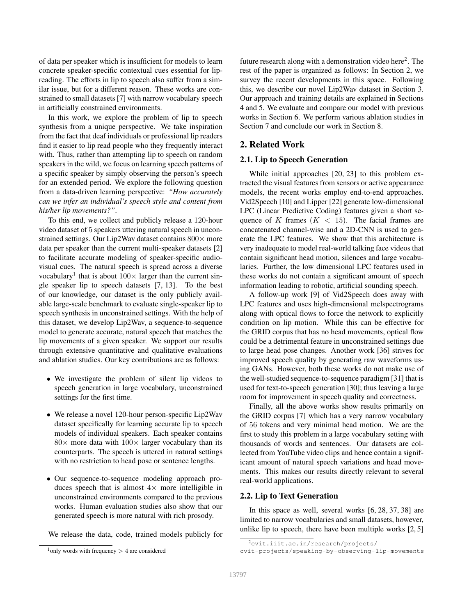of data per speaker which is insufficient for models to learn concrete speaker-specific contextual cues essential for lipreading. The efforts in lip to speech also suffer from a similar issue, but for a different reason. These works are constrained to small datasets [7] with narrow vocabulary speech in artificially constrained environments.

In this work, we explore the problem of lip to speech synthesis from a unique perspective. We take inspiration from the fact that deaf individuals or professional lip readers find it easier to lip read people who they frequently interact with. Thus, rather than attempting lip to speech on random speakers in the wild, we focus on learning speech patterns of a specific speaker by simply observing the person's speech for an extended period. We explore the following question from a data-driven learning perspective: *"How accurately can we infer an individual's speech style and content from his/her lip movements?"*.

To this end, we collect and publicly release a 120-hour video dataset of 5 speakers uttering natural speech in unconstrained settings. Our Lip2Wav dataset contains 800 × more data per speaker than the current multi-speaker datasets [2] to facilitate accurate modeling of speaker-specific audiovisual cues. The natural speech is spread across a diverse vocabulary<sup>1</sup> that is about  $100 \times$  larger than the current single speaker lip to speech datasets [7, 13]. To the best of our knowledge, our dataset is the only publicly available large-scale benchmark to evaluate single-speaker lip to speech synthesis in unconstrained settings. With the help of this dataset, we develop Lip2Wav, a sequence-to-sequence model to generate accurate, natural speech that matches the lip movements of a given speaker. We support our results through extensive quantitative and qualitative evaluations and ablation studies. Our key contributions are as follows:

- We investigate the problem of silent lip videos to speech generation in large vocabulary, unconstrained settings for the first time.
- We release a novel 120-hour person-specific Lip2Wav dataset specifically for learning accurate lip to speech models of individual speakers. Each speaker contains  $80\times$  more data with  $100\times$  larger vocabulary than its counterparts. The speech is uttered in natural settings with no restriction to head pose or sentence lengths.
- Our sequence-to-sequence modeling approach produces speech that is almost  $4\times$  more intelligible in unconstrained environments compared to the previous works. Human evaluation studies also show that our generated speech is more natural with rich prosody.

We release the data, code, trained models publicly for

future research along with a demonstration video here<sup>2</sup>. The rest of the paper is organized as follows: In Section 2, we survey the recent developments in this space. Following this, we describe our novel Lip2Wav dataset in Section 3. Our approach and training details are explained in Sections 4 and 5. We evaluate and compare our model with previous works in Section 6. We perform various ablation studies in Section 7 and conclude our work in Section 8.

# 2. Related Work

#### 2.1. Lip to Speech Generation

While initial approaches [20, 23] to this problem extracted the visual features from sensors or active appearance models, the recent works employ end-to-end approaches. Vid2Speech [10] and Lipper [22] generate low-dimensional LPC (Linear Predictive Coding) features given a short sequence of K frames  $(K < 15)$ . The facial frames are concatenated channel-wise and a 2D-CNN is used to generate the LPC features. We show that this architecture is very inadequate to model real-world talking face videos that contain significant head motion, silences and large vocabularies. Further, the low dimensional LPC features used in these works do not contain a significant amount of speech information leading to robotic, artificial sounding speech.

A follow-up work [9] of Vid2Speech does away with LPC features and uses high-dimensional melspectrograms along with optical flows to force the network to explicitly condition on lip motion. While this can be effective for the GRID corpus that has no head movements, optical flow could be a detrimental feature in unconstrained settings due to large head pose changes. Another work [36] strives for improved speech quality by generating raw waveforms using GANs. However, both these works do not make use of the well-studied sequence-to-sequence paradigm [31] that is used for text-to-speech generation [30]; thus leaving a large room for improvement in speech quality and correctness.

Finally, all the above works show results primarily on the GRID corpus [7] which has a very narrow vocabulary of 56 tokens and very minimal head motion. We are the first to study this problem in a large vocabulary setting with thousands of words and sentences. Our datasets are collected from YouTube video clips and hence contain a significant amount of natural speech variations and head movements. This makes our results directly relevant to several real-world applications.

### 2.2. Lip to Text Generation

In this space as well, several works [6, 28, 37, 38] are limited to narrow vocabularies and small datasets, however, unlike lip to speech, there have been multiple works  $[2, 5]$ 

 $1$  only words with frequency  $> 4$  are considered

<sup>2</sup>cvit.iiit.ac.in/research/projects/

cvit-projects/speaking-by-observing-lip-movements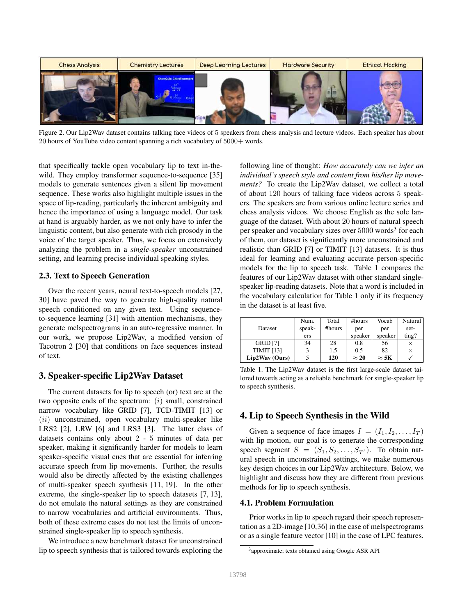

Figure 2. Our Lip2Wav dataset contains talking face videos of 5 speakers from chess analysis and lecture videos. Each speaker has about 20 hours of YouTube video content spanning a rich vocabulary of 5000+ words.

that specifically tackle open vocabulary lip to text in-thewild. They employ transformer sequence-to-sequence [35] models to generate sentences given a silent lip movement sequence. These works also highlight multiple issues in the space of lip-reading, particularly the inherent ambiguity and hence the importance of using a language model. Our task at hand is arguably harder, as we not only have to infer the linguistic content, but also generate with rich prosody in the voice of the target speaker. Thus, we focus on extensively analyzing the problem in a *single-speaker* unconstrained setting, and learning precise individual speaking styles.

### 2.3. Text to Speech Generation

Over the recent years, neural text-to-speech models [27, 30] have paved the way to generate high-quality natural speech conditioned on any given text. Using sequenceto-sequence learning [31] with attention mechanisms, they generate melspectrograms in an auto-regressive manner. In our work, we propose Lip2Wav, a modified version of Tacotron 2 [30] that conditions on face sequences instead of text.

# 3. Speaker-specific Lip2Wav Dataset

The current datasets for lip to speech (or) text are at the two opposite ends of the spectrum:  $(i)$  small, constrained narrow vocabulary like GRID [7], TCD-TIMIT [13] or  $(ii)$  unconstrained, open vocabulary multi-speaker like LRS2 [2], LRW [6] and LRS3 [3]. The latter class of datasets contains only about 2 - 5 minutes of data per speaker, making it significantly harder for models to learn speaker-specific visual cues that are essential for inferring accurate speech from lip movements. Further, the results would also be directly affected by the existing challenges of multi-speaker speech synthesis [11, 19]. In the other extreme, the single-speaker lip to speech datasets [7, 13], do not emulate the natural settings as they are constrained to narrow vocabularies and artificial environments. Thus, both of these extreme cases do not test the limits of unconstrained single-speaker lip to speech synthesis.

We introduce a new benchmark dataset for unconstrained lip to speech synthesis that is tailored towards exploring the following line of thought: *How accurately can we infer an individual's speech style and content from his/her lip movements?* To create the Lip2Wav dataset, we collect a total of about 120 hours of talking face videos across 5 speakers. The speakers are from various online lecture series and chess analysis videos. We choose English as the sole language of the dataset. With about 20 hours of natural speech per speaker and vocabulary sizes over 5000 words<sup>3</sup> for each of them, our dataset is significantly more unconstrained and realistic than GRID [7] or TIMIT [13] datasets. It is thus ideal for learning and evaluating accurate person-specific models for the lip to speech task. Table 1 compares the features of our Lip2Wav dataset with other standard singlespeaker lip-reading datasets. Note that a word is included in the vocabulary calculation for Table 1 only if its frequency in the dataset is at least five.

|                   | Num.   | Total  | #hours       | Vocab        | Natural  |
|-------------------|--------|--------|--------------|--------------|----------|
| Dataset           | speak- | #hours | per          | per          | set-     |
|                   | ers    |        | speaker      | speaker      | $t$ ing? |
| <b>GRID</b> [7]   | 34     | 28     | 0.8          | 56           |          |
| <b>TIMIT [13]</b> |        | 1.5    | 0.5          | 82           | ×        |
| Lip2Wav (Ours)    |        | 120    | $\approx 20$ | $\approx$ 5K |          |

Table 1. The Lip2Wav dataset is the first large-scale dataset tailored towards acting as a reliable benchmark for single-speaker lip to speech synthesis.

# 4. Lip to Speech Synthesis in the Wild

Given a sequence of face images  $I = (I_1, I_2, \dots, I_T)$ with lip motion, our goal is to generate the corresponding speech segment  $S = (S_1, S_2, \ldots, S_{T'})$ . To obtain natural speech in unconstrained settings, we make numerous key design choices in our Lip2Wav architecture. Below, we highlight and discuss how they are different from previous methods for lip to speech synthesis.

#### 4.1. Problem Formulation

Prior works in lip to speech regard their speech representation as a 2D-image [10,36] in the case of melspectrograms or as a single feature vector [10] in the case of LPC features.

<sup>&</sup>lt;sup>3</sup> approximate; texts obtained using Google ASR API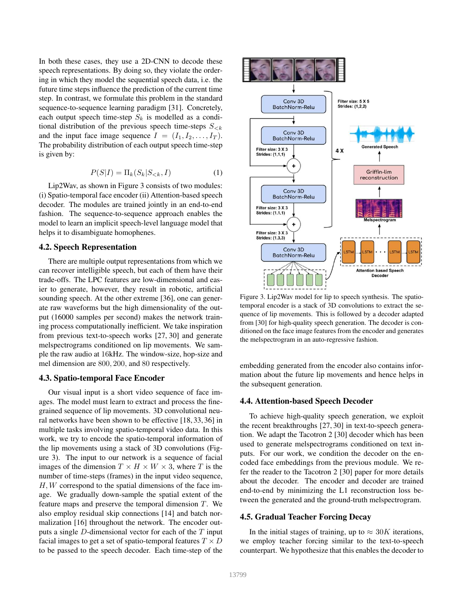In both these cases, they use a 2D-CNN to decode these speech representations. By doing so, they violate the ordering in which they model the sequential speech data, i.e. the future time steps influence the prediction of the current time step. In contrast, we formulate this problem in the standard sequence-to-sequence learning paradigm [31]. Concretely, each output speech time-step  $S_k$  is modelled as a conditional distribution of the previous speech time-steps  $S_{\leq k}$ and the input face image sequence  $I = (I_1, I_2, \ldots, I_T)$ . The probability distribution of each output speech time-step is given by:

$$
P(S|I) = \Pi_k(S_k|S_{< k}, I) \tag{1}
$$

Lip2Wav, as shown in Figure 3 consists of two modules: (i) Spatio-temporal face encoder (ii) Attention-based speech decoder. The modules are trained jointly in an end-to-end fashion. The sequence-to-sequence approach enables the model to learn an implicit speech-level language model that helps it to disambiguate homophenes.

### 4.2. Speech Representation

There are multiple output representations from which we can recover intelligible speech, but each of them have their trade-offs. The LPC features are low-dimensional and easier to generate, however, they result in robotic, artificial sounding speech. At the other extreme [36], one can generate raw waveforms but the high dimensionality of the output (16000 samples per second) makes the network training process computationally inefficient. We take inspiration from previous text-to-speech works [27, 30] and generate melspectrograms conditioned on lip movements. We sample the raw audio at 16kHz. The window-size, hop-size and mel dimension are 800, 200, and 80 respectively.

#### 4.3. Spatio-temporal Face Encoder

Our visual input is a short video sequence of face images. The model must learn to extract and process the finegrained sequence of lip movements. 3D convolutional neural networks have been shown to be effective [18, 33, 36] in multiple tasks involving spatio-temporal video data. In this work, we try to encode the spatio-temporal information of the lip movements using a stack of 3D convolutions (Figure 3). The input to our network is a sequence of facial images of the dimension  $T \times H \times W \times 3$ , where T is the number of time-steps (frames) in the input video sequence,  $H, W$  correspond to the spatial dimensions of the face image. We gradually down-sample the spatial extent of the feature maps and preserve the temporal dimension T. We also employ residual skip connections [14] and batch normalization [16] throughout the network. The encoder outputs a single D-dimensional vector for each of the T input facial images to get a set of spatio-temporal features  $T \times D$ to be passed to the speech decoder. Each time-step of the



Figure 3. Lip2Wav model for lip to speech synthesis. The spatiotemporal encoder is a stack of 3D convolutions to extract the sequence of lip movements. This is followed by a decoder adapted from [30] for high-quality speech generation. The decoder is conditioned on the face image features from the encoder and generates the melspectrogram in an auto-regressive fashion.

embedding generated from the encoder also contains information about the future lip movements and hence helps in the subsequent generation.

### 4.4. Attention-based Speech Decoder

To achieve high-quality speech generation, we exploit the recent breakthroughs [27, 30] in text-to-speech generation. We adapt the Tacotron 2 [30] decoder which has been used to generate melspectrograms conditioned on text inputs. For our work, we condition the decoder on the encoded face embeddings from the previous module. We refer the reader to the Tacotron 2 [30] paper for more details about the decoder. The encoder and decoder are trained end-to-end by minimizing the L1 reconstruction loss between the generated and the ground-truth melspectrogram.

# 4.5. Gradual Teacher Forcing Decay

In the initial stages of training, up to  $\approx 30K$  iterations, we employ teacher forcing similar to the text-to-speech counterpart. We hypothesize that this enables the decoder to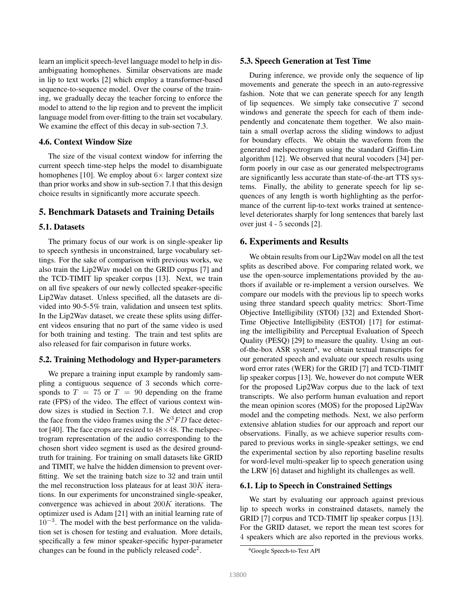learn an implicit speech-level language model to help in disambiguating homophenes. Similar observations are made in lip to text works [2] which employ a transformer-based sequence-to-sequence model. Over the course of the training, we gradually decay the teacher forcing to enforce the model to attend to the lip region and to prevent the implicit language model from over-fitting to the train set vocabulary. We examine the effect of this decay in sub-section 7.3.

# 4.6. Context Window Size

The size of the visual context window for inferring the current speech time-step helps the model to disambiguate homophenes [10]. We employ about  $6 \times$  larger context size than prior works and show in sub-section 7.1 that this design choice results in significantly more accurate speech.

## 5. Benchmark Datasets and Training Details

#### 5.1. Datasets

The primary focus of our work is on single-speaker lip to speech synthesis in unconstrained, large vocabulary settings. For the sake of comparison with previous works, we also train the Lip2Wav model on the GRID corpus [7] and the TCD-TIMIT lip speaker corpus [13]. Next, we train on all five speakers of our newly collected speaker-specific Lip2Wav dataset. Unless specified, all the datasets are divided into 90-5-5% train, validation and unseen test splits. In the Lip2Wav dataset, we create these splits using different videos ensuring that no part of the same video is used for both training and testing. The train and test splits are also released for fair comparison in future works.

## 5.2. Training Methodology and Hyper-parameters

We prepare a training input example by randomly sampling a contiguous sequence of 3 seconds which corresponds to  $T = 75$  or  $T = 90$  depending on the frame rate (FPS) of the video. The effect of various context window sizes is studied in Section 7.1. We detect and crop the face from the video frames using the  $S^3FD$  face detector [40]. The face crops are resized to  $48 \times 48$ . The melspectrogram representation of the audio corresponding to the chosen short video segment is used as the desired groundtruth for training. For training on small datasets like GRID and TIMIT, we halve the hidden dimension to prevent overfitting. We set the training batch size to 32 and train until the mel reconstruction loss plateaus for at least 30K iterations. In our experiments for unconstrained single-speaker, convergence was achieved in about 200K iterations. The optimizer used is Adam [21] with an initial learning rate of 10<sup>−</sup><sup>3</sup> . The model with the best performance on the validation set is chosen for testing and evaluation. More details, specifically a few minor speaker-specific hyper-parameter changes can be found in the publicly released  $code^2$ .

#### 5.3. Speech Generation at Test Time

During inference, we provide only the sequence of lip movements and generate the speech in an auto-regressive fashion. Note that we can generate speech for any length of lip sequences. We simply take consecutive  $T$  second windows and generate the speech for each of them independently and concatenate them together. We also maintain a small overlap across the sliding windows to adjust for boundary effects. We obtain the waveform from the generated melspectrogram using the standard Griffin-Lim algorithm [12]. We observed that neural vocoders [34] perform poorly in our case as our generated melspectrograms are significantly less accurate than state-of-the-art TTS systems. Finally, the ability to generate speech for lip sequences of any length is worth highlighting as the performance of the current lip-to-text works trained at sentencelevel deteriorates sharply for long sentences that barely last over just 4 - 5 seconds [2].

#### 6. Experiments and Results

We obtain results from our Lip2Wav model on all the test splits as described above. For comparing related work, we use the open-source implementations provided by the authors if available or re-implement a version ourselves. We compare our models with the previous lip to speech works using three standard speech quality metrics: Short-Time Objective Intelligibility (STOI) [32] and Extended Short-Time Objective Intelligibility (ESTOI) [17] for estimating the intelligibility and Perceptual Evaluation of Speech Quality (PESQ) [29] to measure the quality. Using an outof-the-box ASR system<sup>4</sup>, we obtain textual transcripts for our generated speech and evaluate our speech results using word error rates (WER) for the GRID [7] and TCD-TIMIT lip speaker corpus [13]. We, however do not compute WER for the proposed Lip2Wav corpus due to the lack of text transcripts. We also perform human evaluation and report the mean opinion scores (MOS) for the proposed Lip2Wav model and the competing methods. Next, we also perform extensive ablation studies for our approach and report our observations. Finally, as we achieve superior results compared to previous works in single-speaker settings, we end the experimental section by also reporting baseline results for word-level multi-speaker lip to speech generation using the LRW [6] dataset and highlight its challenges as well.

#### 6.1. Lip to Speech in Constrained Settings

We start by evaluating our approach against previous lip to speech works in constrained datasets, namely the GRID [7] corpus and TCD-TIMIT lip speaker corpus [13]. For the GRID dataset, we report the mean test scores for 4 speakers which are also reported in the previous works.

<sup>4</sup>Google Speech-to-Text API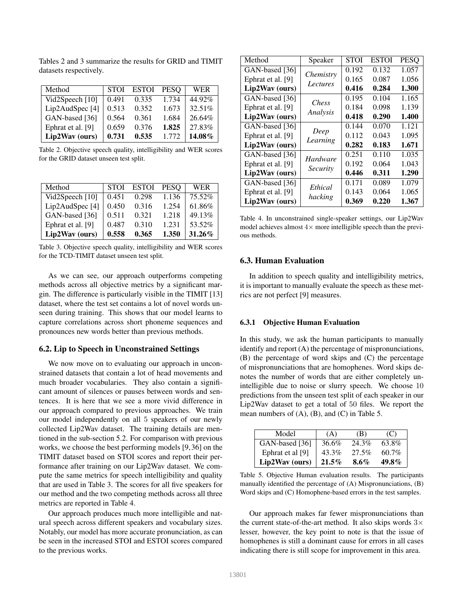Tables 2 and 3 summarize the results for GRID and TIMIT datasets respectively.

| Method            | <b>STOI</b> | <b>ESTOI</b> | <b>PESO</b> | WER    |
|-------------------|-------------|--------------|-------------|--------|
| Vid2Speech [10]   | 0.491       | 0.335        | 1.734       | 44.92% |
| Lip2AudSpec [4]   | 0.513       | 0.352        | 1.673       | 32.51% |
| GAN-based [36]    | 0.564       | 0.361        | 1.684       | 26.64% |
| Ephrat et al. [9] | 0.659       | 0.376        | 1.825       | 27.83% |
| Lip2Wav (ours)    | 0.731       | 0.535        | 1.772       | 14.08% |

Table 2. Objective speech quality, intelligibility and WER scores for the GRID dataset unseen test split.

| Method                     | <b>STOI</b> | <b>ESTOI</b> | <b>PESO</b> | WER       |
|----------------------------|-------------|--------------|-------------|-----------|
| Vid2Speech [10]            | 0.451       | 0.298        | 1.136       | 75.52%    |
| Lip2AudSpec <sup>[4]</sup> | 0.450       | 0.316        | 1.254       | 61.86%    |
| GAN-based [36]             | 0.511       | 0.321        | 1.218       | 49.13%    |
| Ephrat et al. [9]          | 0.487       | 0.310        | 1.231       | 53.52%    |
| Lip2Wav (ours)             | 0.558       | 0.365        | 1.350       | $31.26\%$ |

Table 3. Objective speech quality, intelligibility and WER scores for the TCD-TIMIT dataset unseen test split.

As we can see, our approach outperforms competing methods across all objective metrics by a significant margin. The difference is particularly visible in the TIMIT [13] dataset, where the test set contains a lot of novel words unseen during training. This shows that our model learns to capture correlations across short phoneme sequences and pronounces new words better than previous methods.

## 6.2. Lip to Speech in Unconstrained Settings

We now move on to evaluating our approach in unconstrained datasets that contain a lot of head movements and much broader vocabularies. They also contain a significant amount of silences or pauses between words and sentences. It is here that we see a more vivid difference in our approach compared to previous approaches. We train our model independently on all 5 speakers of our newly collected Lip2Wav dataset. The training details are mentioned in the sub-section 5.2. For comparison with previous works, we choose the best performing models [9, 36] on the TIMIT dataset based on STOI scores and report their performance after training on our Lip2Wav dataset. We compute the same metrics for speech intelligibility and quality that are used in Table 3. The scores for all five speakers for our method and the two competing methods across all three metrics are reported in Table 4.

Our approach produces much more intelligible and natural speech across different speakers and vocabulary sizes. Notably, our model has more accurate pronunciation, as can be seen in the increased STOI and ESTOI scores compared to the previous works.

| Method            | Speaker               | STOI  | <b>ESTOI</b> | <b>PESO</b> |
|-------------------|-----------------------|-------|--------------|-------------|
| GAN-based [36]    |                       | 0.192 | 0.132        | 1.057       |
| Ephrat et al. [9] | Chemistry<br>Lectures | 0.165 | 0.087        | 1.056       |
| Lip2Wav (ours)    |                       | 0.416 | 0.284        | 1.300       |
| GAN-based [36]    | <i>Chess</i>          | 0.195 | 0.104        | 1.165       |
| Ephrat et al. [9] |                       | 0.184 | 0.098        | 1.139       |
| Lip2Wav (ours)    | Analysis              | 0.418 | 0.290        | 1.400       |
| GAN-based [36]    |                       | 0.144 | 0.070        | 1.121       |
| Ephrat et al. [9] | Deep                  | 0.112 | 0.043        | 1.095       |
| Lip2Wav (ours)    | Learning              | 0.282 | 0.183        | 1.671       |
| GAN-based [36]    | Hardware              | 0.251 | 0.110        | 1.035       |
| Ephrat et al. [9] |                       | 0.192 | 0.064        | 1.043       |
| Lip2Wav (ours)    | Security              | 0.446 | 0.311        | 1.290       |
| GAN-based [36]    | Ethical               | 0.171 | 0.089        | 1.079       |
| Ephrat et al. [9] |                       | 0.143 | 0.064        | 1.065       |
| Lip2Wav (ours)    | hacking               | 0.369 | 0.220        | 1.367       |

Table 4. In unconstrained single-speaker settings, our Lip2Wav model achieves almost  $4 \times$  more intelligible speech than the previous methods.

# 6.3. Human Evaluation

In addition to speech quality and intelligibility metrics, it is important to manually evaluate the speech as these metrics are not perfect [9] measures.

#### 6.3.1 Objective Human Evaluation

In this study, we ask the human participants to manually identify and report (A) the percentage of mispronunciations, (B) the percentage of word skips and (C) the percentage of mispronunciations that are homophenes. Word skips denotes the number of words that are either completely unintelligible due to noise or slurry speech. We choose 10 predictions from the unseen test split of each speaker in our Lip2Wav dataset to get a total of 50 files. We report the mean numbers of  $(A)$ ,  $(B)$ , and  $(C)$  in Table 5.

| Model            | (A)      | (B)     | (C)      |
|------------------|----------|---------|----------|
| GAN-based [36]   | 36.6%    | 24.3%   | 63.8%    |
| Ephrat et al [9] | 43.3%    | 27.5%   | $60.7\%$ |
| Lip2Wav (ours)   | $21.5\%$ | $8.6\%$ | $49.8\%$ |

Table 5. Objective Human evaluation results. The participants manually identified the percentage of (A) Mispronunciations, (B) Word skips and (C) Homophene-based errors in the test samples.

Our approach makes far fewer mispronunciations than the current state-of-the-art method. It also skips words  $3\times$ lesser, however, the key point to note is that the issue of homophenes is still a dominant cause for errors in all cases indicating there is still scope for improvement in this area.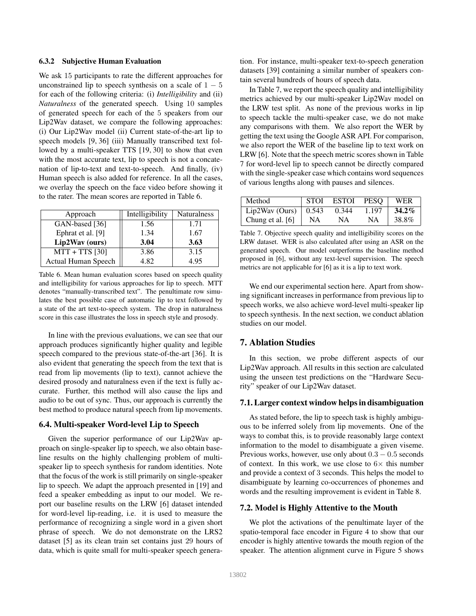#### 6.3.2 Subjective Human Evaluation

We ask 15 participants to rate the different approaches for unconstrained lip to speech synthesis on a scale of  $1 - 5$ for each of the following criteria: (i) *Intelligibility* and (ii) *Naturalness* of the generated speech. Using 10 samples of generated speech for each of the 5 speakers from our Lip2Wav dataset, we compare the following approaches: (i) Our Lip2Wav model (ii) Current state-of-the-art lip to speech models [9, 36] (iii) Manually transcribed text followed by a multi-speaker TTS [19, 30] to show that even with the most accurate text, lip to speech is not a concatenation of lip-to-text and text-to-speech. And finally, (iv) Human speech is also added for reference. In all the cases, we overlay the speech on the face video before showing it to the rater. The mean scores are reported in Table 6.

| Approach                   | Intelligibility | <b>Naturalness</b> |
|----------------------------|-----------------|--------------------|
| GAN-based [36]             | 1.56            | 1.71               |
| Ephrat et al. [9]          | 1.34            | 1.67               |
| Lip2Wav (ours)             | 3.04            | 3.63               |
| $MTT + TTS$ [30]           | 3.86            | 3.15               |
| <b>Actual Human Speech</b> | 4.82            | 4.95               |

Table 6. Mean human evaluation scores based on speech quality and intelligibility for various approaches for lip to speech. MTT denotes "manually-transcribed text". The penultimate row simulates the best possible case of automatic lip to text followed by a state of the art text-to-speech system. The drop in naturalness score in this case illustrates the loss in speech style and prosody.

In line with the previous evaluations, we can see that our approach produces significantly higher quality and legible speech compared to the previous state-of-the-art [36]. It is also evident that generating the speech from the text that is read from lip movements (lip to text), cannot achieve the desired prosody and naturalness even if the text is fully accurate. Further, this method will also cause the lips and audio to be out of sync. Thus, our approach is currently the best method to produce natural speech from lip movements.

#### 6.4. Multi-speaker Word-level Lip to Speech

Given the superior performance of our Lip2Wav approach on single-speaker lip to speech, we also obtain baseline results on the highly challenging problem of multispeaker lip to speech synthesis for random identities. Note that the focus of the work is still primarily on single-speaker lip to speech. We adapt the approach presented in [19] and feed a speaker embedding as input to our model. We report our baseline results on the LRW [6] dataset intended for word-level lip-reading, i.e. it is used to measure the performance of recognizing a single word in a given short phrase of speech. We do not demonstrate on the LRS2 dataset [5] as its clean train set contains just 29 hours of data, which is quite small for multi-speaker speech generation. For instance, multi-speaker text-to-speech generation datasets [39] containing a similar number of speakers contain several hundreds of hours of speech data.

In Table 7, we report the speech quality and intelligibility metrics achieved by our multi-speaker Lip2Wav model on the LRW test split. As none of the previous works in lip to speech tackle the multi-speaker case, we do not make any comparisons with them. We also report the WER by getting the text using the Google ASR API. For comparison, we also report the WER of the baseline lip to text work on LRW [6]. Note that the speech metric scores shown in Table 7 for word-level lip to speech cannot be directly compared with the single-speaker case which contains word sequences of various lengths along with pauses and silences.

| Method                       | <b>STOI</b> | <b>ESTOI</b> | <b>PESO</b> | <b>WER</b> |
|------------------------------|-------------|--------------|-------------|------------|
| Lip2Wav (Ours) $\vert$ 0.543 |             | 0.344        | 1.197       | $34.2\%$   |
| Chung et al. $[6]$           | NΑ          | NA.          | NA          | 38.8%      |

Table 7. Objective speech quality and intelligibility scores on the LRW dataset. WER is also calculated after using an ASR on the generated speech. Our model outperforms the baseline method proposed in [6], without any text-level supervision. The speech metrics are not applicable for [6] as it is a lip to text work.

We end our experimental section here. Apart from showing significant increases in performance from previous lip to speech works, we also achieve word-level multi-speaker lip to speech synthesis. In the next section, we conduct ablation studies on our model.

# 7. Ablation Studies

In this section, we probe different aspects of our Lip2Wav approach. All results in this section are calculated using the unseen test predictions on the "Hardware Security" speaker of our Lip2Wav dataset.

# 7.1. Larger context window helps in disambiguation

As stated before, the lip to speech task is highly ambiguous to be inferred solely from lip movements. One of the ways to combat this, is to provide reasonably large context information to the model to disambiguate a given viseme. Previous works, however, use only about  $0.3 - 0.5$  seconds of context. In this work, we use close to  $6\times$  this number and provide a context of 3 seconds. This helps the model to disambiguate by learning co-occurrences of phonemes and words and the resulting improvement is evident in Table 8.

#### 7.2. Model is Highly Attentive to the Mouth

We plot the activations of the penultimate layer of the spatio-temporal face encoder in Figure 4 to show that our encoder is highly attentive towards the mouth region of the speaker. The attention alignment curve in Figure 5 shows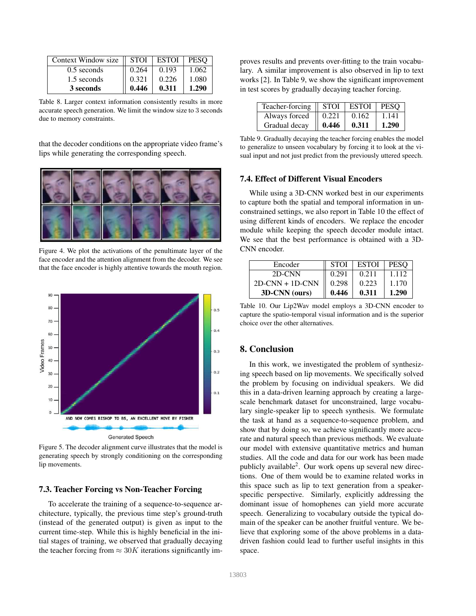| Context Window size | <b>STOI</b> | <b>ESTOI</b> | <b>PESO</b> |
|---------------------|-------------|--------------|-------------|
| $0.5$ seconds       | 0.264       | 0.193        | 1.062       |
| 1.5 seconds         | 0.321       | 0.226        | 1.080       |
| 3 seconds           | 0.446       | 0.311        | 1.290       |

Table 8. Larger context information consistently results in more accurate speech generation. We limit the window size to 3 seconds due to memory constraints.

that the decoder conditions on the appropriate video frame's lips while generating the corresponding speech.

![](_page_7_Picture_3.jpeg)

Figure 4. We plot the activations of the penultimate layer of the face encoder and the attention alignment from the decoder. We see that the face encoder is highly attentive towards the mouth region.

![](_page_7_Figure_5.jpeg)

Figure 5. The decoder alignment curve illustrates that the model is generating speech by strongly conditioning on the corresponding lip movements.

# 7.3. Teacher Forcing vs Non-Teacher Forcing

To accelerate the training of a sequence-to-sequence architecture, typically, the previous time step's ground-truth (instead of the generated output) is given as input to the current time-step. While this is highly beneficial in the initial stages of training, we observed that gradually decaying the teacher forcing from  $\approx 30K$  iterations significantly improves results and prevents over-fitting to the train vocabulary. A similar improvement is also observed in lip to text works [2]. In Table 9, we show the significant improvement in test scores by gradually decaying teacher forcing.

| Teacher-forcing | <b>STOI</b> | <b>ESTOI</b> | <b>PESO</b> |
|-----------------|-------------|--------------|-------------|
| Always forced   | 0.221       | 0.162        | 1.141       |
| Gradual decay   | 0.446       | 0.311        | 1.290       |

Table 9. Gradually decaying the teacher forcing enables the model to generalize to unseen vocabulary by forcing it to look at the visual input and not just predict from the previously uttered speech.

## 7.4. Effect of Different Visual Encoders

While using a 3D-CNN worked best in our experiments to capture both the spatial and temporal information in unconstrained settings, we also report in Table 10 the effect of using different kinds of encoders. We replace the encoder module while keeping the speech decoder module intact. We see that the best performance is obtained with a 3D-CNN encoder.

| Encoder           | <b>STOI</b> | <b>ESTOI</b> | <b>PESO</b> |
|-------------------|-------------|--------------|-------------|
| 2D-CNN            | 0.291       | 0.211        | 1 1 1 2     |
| $2D-CNN + 1D-CNN$ | 0.298       | 0.223        | 1.170       |
| 3D-CNN (ours)     | 0.446       | 0.311        | 1.290       |

Table 10. Our Lip2Wav model employs a 3D-CNN encoder to capture the spatio-temporal visual information and is the superior choice over the other alternatives.

# 8. Conclusion

In this work, we investigated the problem of synthesizing speech based on lip movements. We specifically solved the problem by focusing on individual speakers. We did this in a data-driven learning approach by creating a largescale benchmark dataset for unconstrained, large vocabulary single-speaker lip to speech synthesis. We formulate the task at hand as a sequence-to-sequence problem, and show that by doing so, we achieve significantly more accurate and natural speech than previous methods. We evaluate our model with extensive quantitative metrics and human studies. All the code and data for our work has been made publicly available<sup>2</sup>. Our work opens up several new directions. One of them would be to examine related works in this space such as lip to text generation from a speakerspecific perspective. Similarly, explicitly addressing the dominant issue of homophenes can yield more accurate speech. Generalizing to vocabulary outside the typical domain of the speaker can be another fruitful venture. We believe that exploring some of the above problems in a datadriven fashion could lead to further useful insights in this space.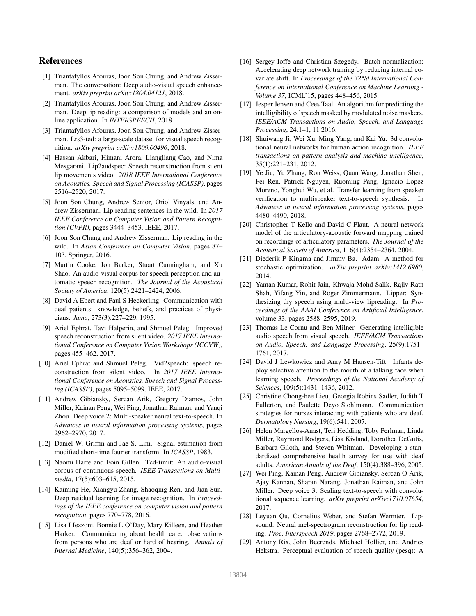# References

- [1] Triantafyllos Afouras, Joon Son Chung, and Andrew Zisserman. The conversation: Deep audio-visual speech enhancement. *arXiv preprint arXiv:1804.04121*, 2018.
- [2] Triantafyllos Afouras, Joon Son Chung, and Andrew Zisserman. Deep lip reading: a comparison of models and an online application. In *INTERSPEECH*, 2018.
- [3] Triantafyllos Afouras, Joon Son Chung, and Andrew Zisserman. Lrs3-ted: a large-scale dataset for visual speech recognition. *arXiv preprint arXiv:1809.00496*, 2018.
- [4] Hassan Akbari, Himani Arora, Liangliang Cao, and Nima Mesgarani. Lip2audspec: Speech reconstruction from silent lip movements video. *2018 IEEE International Conference on Acoustics, Speech and Signal Processing (ICASSP)*, pages 2516–2520, 2017.
- [5] Joon Son Chung, Andrew Senior, Oriol Vinyals, and Andrew Zisserman. Lip reading sentences in the wild. In *2017 IEEE Conference on Computer Vision and Pattern Recognition (CVPR)*, pages 3444–3453. IEEE, 2017.
- [6] Joon Son Chung and Andrew Zisserman. Lip reading in the wild. In *Asian Conference on Computer Vision*, pages 87– 103. Springer, 2016.
- [7] Martin Cooke, Jon Barker, Stuart Cunningham, and Xu Shao. An audio-visual corpus for speech perception and automatic speech recognition. *The Journal of the Acoustical Society of America*, 120(5):2421–2424, 2006.
- [8] David A Ebert and Paul S Heckerling. Communication with deaf patients: knowledge, beliefs, and practices of physicians. *Jama*, 273(3):227–229, 1995.
- [9] Ariel Ephrat, Tavi Halperin, and Shmuel Peleg. Improved speech reconstruction from silent video. *2017 IEEE International Conference on Computer Vision Workshops (ICCVW)*, pages 455–462, 2017.
- [10] Ariel Ephrat and Shmuel Peleg. Vid2speech: speech reconstruction from silent video. In *2017 IEEE International Conference on Acoustics, Speech and Signal Processing (ICASSP)*, pages 5095–5099. IEEE, 2017.
- [11] Andrew Gibiansky, Sercan Arik, Gregory Diamos, John Miller, Kainan Peng, Wei Ping, Jonathan Raiman, and Yanqi Zhou. Deep voice 2: Multi-speaker neural text-to-speech. In *Advances in neural information processing systems*, pages 2962–2970, 2017.
- [12] Daniel W. Griffin and Jae S. Lim. Signal estimation from modified short-time fourier transform. In *ICASSP*, 1983.
- [13] Naomi Harte and Eoin Gillen. Tcd-timit: An audio-visual corpus of continuous speech. *IEEE Transactions on Multimedia*, 17(5):603–615, 2015.
- [14] Kaiming He, Xiangyu Zhang, Shaoqing Ren, and Jian Sun. Deep residual learning for image recognition. In *Proceedings of the IEEE conference on computer vision and pattern recognition*, pages 770–778, 2016.
- [15] Lisa I Iezzoni, Bonnie L O'Day, Mary Killeen, and Heather Harker. Communicating about health care: observations from persons who are deaf or hard of hearing. *Annals of Internal Medicine*, 140(5):356–362, 2004.
- [16] Sergey Ioffe and Christian Szegedy. Batch normalization: Accelerating deep network training by reducing internal covariate shift. In *Proceedings of the 32Nd International Conference on International Conference on Machine Learning - Volume 37*, ICML'15, pages 448–456, 2015.
- [17] Jesper Jensen and Cees Taal. An algorithm for predicting the intelligibility of speech masked by modulated noise maskers. *IEEE/ACM Transactions on Audio, Speech, and Language Processing*, 24:1–1, 11 2016.
- [18] Shuiwang Ji, Wei Xu, Ming Yang, and Kai Yu. 3d convolutional neural networks for human action recognition. *IEEE transactions on pattern analysis and machine intelligence*, 35(1):221–231, 2012.
- [19] Ye Jia, Yu Zhang, Ron Weiss, Quan Wang, Jonathan Shen, Fei Ren, Patrick Nguyen, Ruoming Pang, Ignacio Lopez Moreno, Yonghui Wu, et al. Transfer learning from speaker verification to multispeaker text-to-speech synthesis. In *Advances in neural information processing systems*, pages 4480–4490, 2018.
- [20] Christopher T Kello and David C Plaut. A neural network model of the articulatory-acoustic forward mapping trained on recordings of articulatory parameters. *The Journal of the Acoustical Society of America*, 116(4):2354–2364, 2004.
- [21] Diederik P Kingma and Jimmy Ba. Adam: A method for stochastic optimization. *arXiv preprint arXiv:1412.6980*, 2014.
- [22] Yaman Kumar, Rohit Jain, Khwaja Mohd Salik, Rajiv Ratn Shah, Yifang Yin, and Roger Zimmermann. Lipper: Synthesizing thy speech using multi-view lipreading. In *Proceedings of the AAAI Conference on Artificial Intelligence*, volume 33, pages 2588–2595, 2019.
- [23] Thomas Le Cornu and Ben Milner. Generating intelligible audio speech from visual speech. *IEEE/ACM Transactions on Audio, Speech, and Language Processing*, 25(9):1751– 1761, 2017.
- [24] David J Lewkowicz and Amy M Hansen-Tift. Infants deploy selective attention to the mouth of a talking face when learning speech. *Proceedings of the National Academy of Sciences*, 109(5):1431–1436, 2012.
- [25] Christine Chong-hee Lieu, Georgia Robins Sadler, Judith T Fullerton, and Paulette Deyo Stohlmann. Communication strategies for nurses interacting with patients who are deaf. *Dermatology Nursing*, 19(6):541, 2007.
- [26] Helen Margellos-Anast, Teri Hedding, Toby Perlman, Linda Miller, Raymond Rodgers, Lisa Kivland, Dorothea DeGutis, Barbara Giloth, and Steven Whitman. Developing a standardized comprehensive health survey for use with deaf adults. *American Annals of the Deaf*, 150(4):388–396, 2005.
- [27] Wei Ping, Kainan Peng, Andrew Gibiansky, Sercan O Arik, Ajay Kannan, Sharan Narang, Jonathan Raiman, and John Miller. Deep voice 3: Scaling text-to-speech with convolutional sequence learning. *arXiv preprint arXiv:1710.07654*, 2017.
- [28] Leyuan Qu, Cornelius Weber, and Stefan Wermter. Lipsound: Neural mel-spectrogram reconstruction for lip reading. *Proc. Interspeech 2019*, pages 2768–2772, 2019.
- [29] Antony Rix, John Beerends, Michael Hollier, and Andries Hekstra. Perceptual evaluation of speech quality (pesq): A